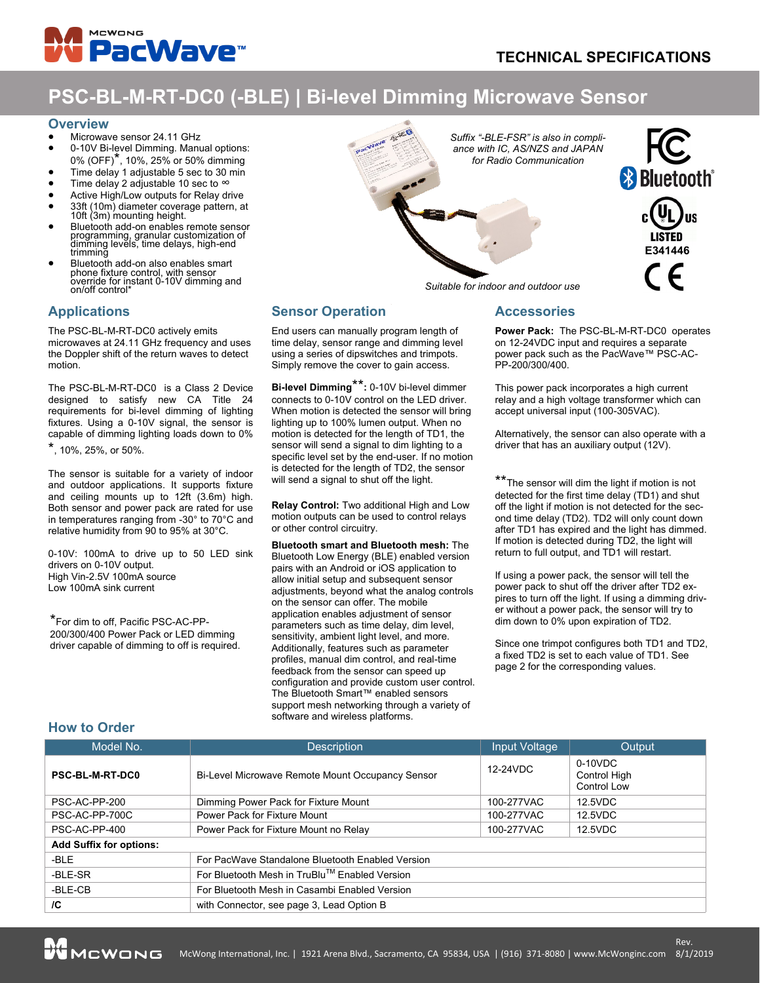

# **PSC-BL-M-RT-DC0 (-BLE) | Bi-level Dimming Microwave Sensor**

### **Overview**

- Microwave sensor 24.11 GHz
- 0-10V Bi-level Dimming. Manual options: 0% (OFF)\*, 10%, 25% or 50% dimming
- Time delay 1 adjustable 5 sec to 30 min
- Time delay 2 adjustable 10 sec to  $\infty$
- Active High/Low outputs for Relay drive
- 33ft (10m) diameter coverage pattern, at 10ft (3m) mounting height.
- Bluetooth add-on enables remote sensor programming, granular customization of dimming levels, time delays, high-end trimming
- Bluetooth add-on also enables smart phone fixture control, with sensor override for instant 0-10V dimming and on/off control\*

# **Applications**

The PSC-BL-M-RT-DC0 actively emits microwaves at 24.11 GHz frequency and uses the Doppler shift of the return waves to detect motion.

The PSC-BL-M-RT-DC0 is a Class 2 Device designed to satisfy new CA Title 24 requirements for bi-level dimming of lighting fixtures. Using a 0-10V signal, the sensor is capable of dimming lighting loads down to 0%

\*, 10%, 25%, or 50%.

The sensor is suitable for a variety of indoor and outdoor applications. It supports fixture and ceiling mounts up to 12ft (3.6m) high. Both sensor and power pack are rated for use in temperatures ranging from -30° to 70°C and relative humidity from 90 to 95% at 30°C.

0-10V: 100mA to drive up to 50 LED sink drivers on 0-10V output. High Vin-2.5V 100mA source Low 100mA sink current

\*For dim to off, Pacific PSC-AC-PP-200/300/400 Power Pack or LED dimming driver capable of dimming to off is required. *Suffix "-BLE-FSR" is also in compliance with IC, AS/NZS and JAPAN for Radio Communication*



*Suitable for indoor and outdoor use*

# **Sensor Operation**

End users can manually program length of time delay, sensor range and dimming level using a series of dipswitches and trimpots. Simply remove the cover to gain access.

**Bi-level Dimming**\*\***:** 0-10V bi-level dimmer connects to 0-10V control on the LED driver. When motion is detected the sensor will bring lighting up to 100% lumen output. When no motion is detected for the length of TD1, the sensor will send a signal to dim lighting to a specific level set by the end-user. If no motion is detected for the length of TD2, the sensor will send a signal to shut off the light.

**Relay Control:** Two additional High and Low motion outputs can be used to control relays or other control circuitry.

**Bluetooth smart and Bluetooth mesh:** The Bluetooth Low Energy (BLE) enabled version pairs with an Android or iOS application to allow initial setup and subsequent sensor adjustments, beyond what the analog controls on the sensor can offer. The mobile application enables adjustment of sensor parameters such as time delay, dim level, sensitivity, ambient light level, and more. Additionally, features such as parameter profiles, manual dim control, and real-time feedback from the sensor can speed up configuration and provide custom user control. The Bluetooth Smart™ enabled sensors support mesh networking through a variety of software and wireless platforms.

### **Accessories**

**Power Pack:** The PSC-BL-M-RT-DC0 operates on 12-24VDC input and requires a separate power pack such as the PacWave™ PSC-AC-PP-200/300/400.

This power pack incorporates a high current relay and a high voltage transformer which can accept universal input (100-305VAC).

Alternatively, the sensor can also operate with a driver that has an auxiliary output (12V).

\*\*The sensor will dim the light if motion is not detected for the first time delay (TD1) and shut off the light if motion is not detected for the second time delay (TD2). TD2 will only count down after TD1 has expired and the light has dimmed. If motion is detected during TD2, the light will return to full output, and TD1 will restart.

If using a power pack, the sensor will tell the power pack to shut off the driver after TD2 expires to turn off the light. If using a dimming driver without a power pack, the sensor will try to dim down to 0% upon expiration of TD2.

Since one trimpot configures both TD1 and TD2, a fixed TD2 is set to each value of TD1. See page 2 for the corresponding values.

## **How to Order**

| Model No.                      | <b>Description</b>                               | Input Voltage | Output                                   |  |
|--------------------------------|--------------------------------------------------|---------------|------------------------------------------|--|
| <b>PSC-BL-M-RT-DC0</b>         | Bi-Level Microwave Remote Mount Occupancy Sensor | 12-24VDC      | $0-10VDC$<br>Control High<br>Control Low |  |
| PSC-AC-PP-200                  | Dimming Power Pack for Fixture Mount             | 100-277VAC    | 12.5VDC                                  |  |
| PSC-AC-PP-700C                 | Power Pack for Fixture Mount                     | 100-277VAC    | 12.5VDC                                  |  |
| PSC-AC-PP-400                  | Power Pack for Fixture Mount no Relay            | 100-277VAC    | 12.5VDC                                  |  |
| <b>Add Suffix for options:</b> |                                                  |               |                                          |  |
| -BLE                           | For PacWave Standalone Bluetooth Enabled Version |               |                                          |  |
| -BLE-SR                        | For Bluetooth Mesh in TruBlu™ Enabled Version    |               |                                          |  |
| -BLE-CB                        | For Bluetooth Mesh in Casambi Enabled Version    |               |                                          |  |
| /C                             | with Connector, see page 3, Lead Option B        |               |                                          |  |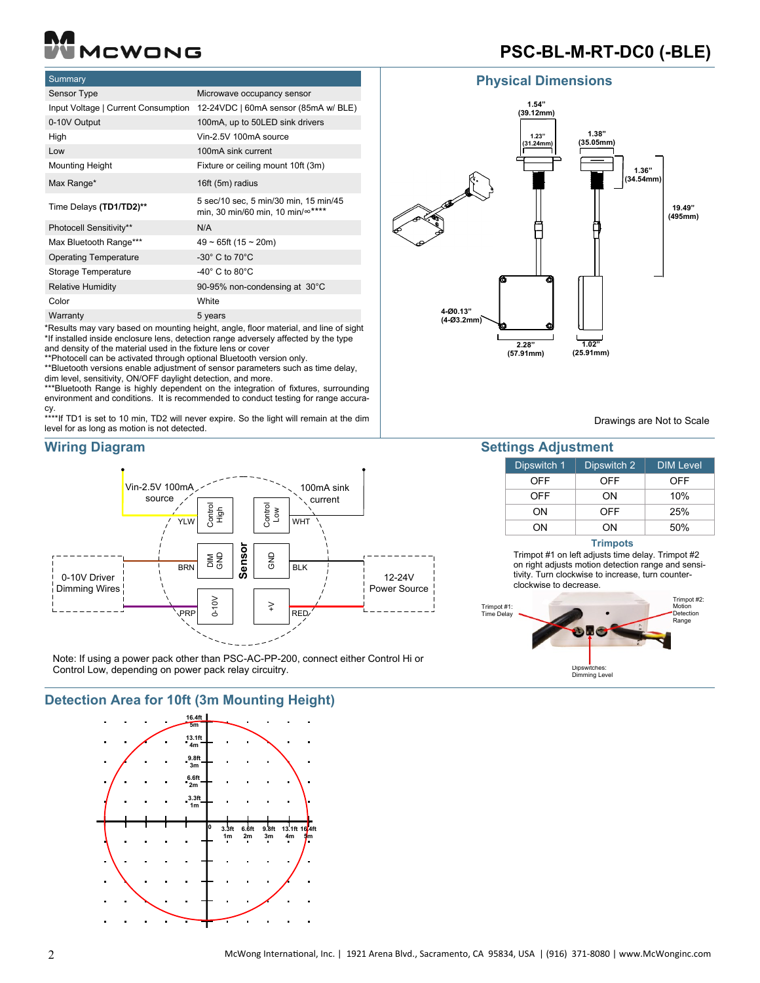# MCWONG

# **PSC-BL-M-RT-DC0 (-BLE)**

# **Summary**

| Sensor Type                         | Microwave occupancy sensor                                                |
|-------------------------------------|---------------------------------------------------------------------------|
| Input Voltage   Current Consumption | 12-24VDC   60mA sensor (85mA w/ BLE)                                      |
| 0-10V Output                        | 100mA, up to 50LED sink drivers                                           |
| High                                | Vin-2.5V 100mA source                                                     |
| Low                                 | 100mA sink current                                                        |
| <b>Mounting Height</b>              | Fixture or ceiling mount 10ft (3m)                                        |
| Max Range*                          | 16ft (5m) radius                                                          |
| Time Delays (TD1/TD2)**             | 5 sec/10 sec, 5 min/30 min, 15 min/45<br>min, 30 min/60 min, 10 min/∞**** |
| Photocell Sensitivity**             | N/A                                                                       |
| Max Bluetooth Range***              | $49 \sim 65$ ft (15 ~ 20m)                                                |
| <b>Operating Temperature</b>        | $-30^\circ$ C to 70 $\degree$ C                                           |
| Storage Temperature                 | $-40^\circ$ C to 80 $^{\circ}$ C                                          |
| <b>Relative Humidity</b>            | 90-95% non-condensing at 30°C                                             |
| Color                               | White                                                                     |
| Warranty                            | 5 years<br>$\cdot$ $\cdot$                                                |

\*Results may vary based on mounting height, angle, floor material, and line of sight \*If installed inside enclosure lens, detection range adversely affected by the type and density of the material used in the fixture lens or cover

\*\*Photocell can be activated through optional Bluetooth version only.

\*\*Bluetooth versions enable adjustment of sensor parameters such as time delay,

dim level, sensitivity, ON/OFF daylight detection, and more.

\*\*\*Bluetooth Range is highly dependent on the integration of fixtures, surrounding environment and conditions. It is recommended to conduct testing for range accuracy.

\*\*\*\*If TD1 is set to 10 min, TD2 will never expire. So the light will remain at the dim level for as long as motion is not detected.



Note: If using a power pack other than PSC-AC-PP-200, connect either Control Hi or Control Low, depending on power pack relay circuitry. Note: it using a power pack other than FSC-AC-FF-200, connect either Control I.

**Detection Area for 10ft (3m Mounting Height)**



# **Physical Dimensions**



Drawings are Not to Scale

# **Wiring Diagram Settings Adjustment**

| Dipswitch 1 | Dipswitch 2 | <b>DIM Level</b> |
|-------------|-------------|------------------|
| OFF         | OFF         | OFF              |
| OFF         | ON          | 10%              |
| ΩN          | OFF         | 25%              |
| ΩN          | ΩN          | 50%              |

### **Trimpots**

Trimpot #1 on left adjusts time delay. Trimpot #2 on right adjusts motion detection range and sensitivity. Turn clockwise to increase, turn counterclockwise to decrease.